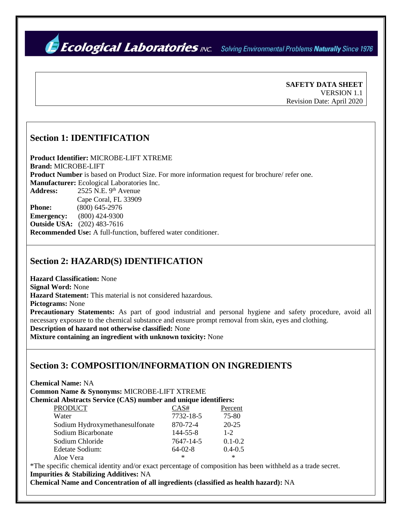*Ecological Laboratories INC.* Solving Environmental Problems Naturally Since 1976

**SAFETY DATA SHEET**  VERSION 1.1 Revision Date: April 2020

#### **Section 1: IDENTIFICATION**

**Product Identifier:** MICROBE-LIFT XTREME **Brand:** MICROBE-LIFT **Product Number** is based on Product Size. For more information request for brochure/ refer one. **Manufacturer:** Ecological Laboratories Inc. Address: 2525 N.E. 9<sup>th</sup> Avenue Cape Coral, FL 33909 **Phone:** (800) 645-2976 **Emergency:** (800) 424-9300 **Outside USA:** (202) 483-7616 **Recommended Use:** A full-function, buffered water conditioner.

#### **Section 2: HAZARD(S) IDENTIFICATION**

**Hazard Classification:** None **Signal Word:** None **Hazard Statement:** This material is not considered hazardous. **Pictograms:** None **Precautionary Statements:** As part of good industrial and personal hygiene and safety procedure, avoid all necessary exposure to the chemical substance and ensure prompt removal from skin, eyes and clothing. **Description of hazard not otherwise classified:** None

**Mixture containing an ingredient with unknown toxicity:** None

## **Section 3: COMPOSITION/INFORMATION ON INGREDIENTS**

**Chemical Name:** NA

**Common Name & Synonyms:** MICROBE-LIFT XTREME

**Chemical Abstracts Service (CAS) number and unique identifiers:**

| <b>PRODUCT</b>                 | CAS#           | Percent     |
|--------------------------------|----------------|-------------|
| Water                          | 7732-18-5      | 75-80       |
| Sodium Hydroxymethanesulfonate | 870-72-4       | $20 - 25$   |
| Sodium Bicarbonate             | $144 - 55 - 8$ | $1 - 2$     |
| Sodium Chloride                | 7647-14-5      | $0.1 - 0.2$ |
| Edetate Sodium:                | $64-02-8$      | $0.4 - 0.5$ |
| Aloe Vera                      | $\ast$         | ∗           |

\*The specific chemical identity and/or exact percentage of composition has been withheld as a trade secret. **Impurities & Stabilizing Additives:** NA

**Chemical Name and Concentration of all ingredients (classified as health hazard):** NA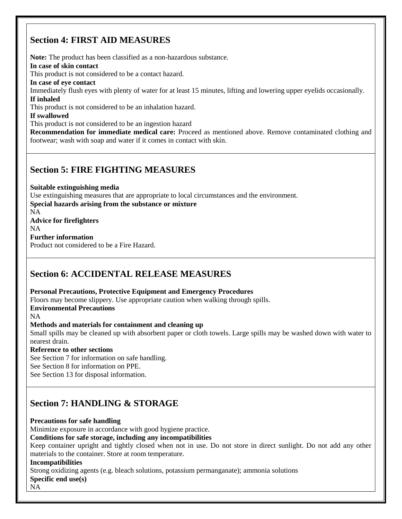# **Section 4: FIRST AID MEASURES**

**Note:** The product has been classified as a non-hazardous substance. **In case of skin contact** This product is not considered to be a contact hazard. **In case of eye contact** Immediately flush eyes with plenty of water for at least 15 minutes, lifting and lowering upper eyelids occasionally. **If inhaled** This product is not considered to be an inhalation hazard. **If swallowed** This product is not considered to be an ingestion hazard **Recommendation for immediate medical care:** Proceed as mentioned above. Remove contaminated clothing and footwear; wash with soap and water if it comes in contact with skin.

## **Section 5: FIRE FIGHTING MEASURES**

**Suitable extinguishing media**  Use extinguishing measures that are appropriate to local circumstances and the environment. **Special hazards arising from the substance or mixture** NA **Advice for firefighters** NA **Further information**  Product not considered to be a Fire Hazard.

## **Section 6: ACCIDENTAL RELEASE MEASURES**

**Personal Precautions, Protective Equipment and Emergency Procedures** 

Floors may become slippery. Use appropriate caution when walking through spills.

**Environmental Precautions**

NA

**Methods and materials for containment and cleaning up**

Small spills may be cleaned up with absorbent paper or cloth towels. Large spills may be washed down with water to nearest drain.

#### **Reference to other sections**

See Section 7 for information on safe handling. See Section 8 for information on PPE.

See Section 13 for disposal information.

## **Section 7: HANDLING & STORAGE**

**Precautions for safe handling** 

Minimize exposure in accordance with good hygiene practice.

#### **Conditions for safe storage, including any incompatibilities**

Keep container upright and tightly closed when not in use. Do not store in direct sunlight. Do not add any other materials to the container. Store at room temperature.

#### **Incompatibilities**

Strong oxidizing agents (e.g. bleach solutions, potassium permanganate); ammonia solutions **Specific end use(s)**

NA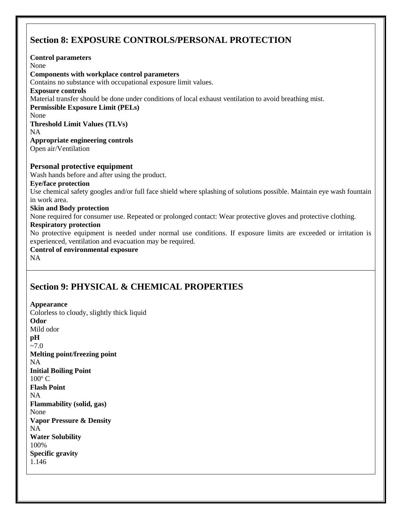# **Section 8: EXPOSURE CONTROLS/PERSONAL PROTECTION**

**Control parameters** None **Components with workplace control parameters** Contains no substance with occupational exposure limit values. **Exposure controls** Material transfer should be done under conditions of local exhaust ventilation to avoid breathing mist. **Permissible Exposure Limit (PELs)** None **Threshold Limit Values (TLVs)** NA **Appropriate engineering controls** Open air/Ventilation **Personal protective equipment** Wash hands before and after using the product. **Eye/face protection** Use chemical safety googles and/or full face shield where splashing of solutions possible. Maintain eye wash fountain in work area. **Skin and Body protection** None required for consumer use. Repeated or prolonged contact: Wear protective gloves and protective clothing. **Respiratory protection** No protective equipment is needed under normal use conditions. If exposure limits are exceeded or irritation is experienced, ventilation and evacuation may be required. **Control of environmental exposure** NA

## **Section 9: PHYSICAL & CHEMICAL PROPERTIES**

**Appearance** Colorless to cloudy, slightly thick liquid **Odor** Mild odor **pH**  $-7.0$ **Melting point/freezing point** NA **Initial Boiling Point**  $100^{\circ}$  C **Flash Point**  NA **Flammability (solid, gas)** None **Vapor Pressure & Density** NA **Water Solubility** 100% **Specific gravity**  1.146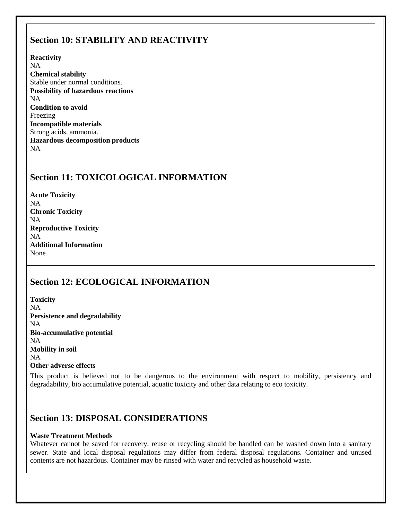## **Section 10: STABILITY AND REACTIVITY**

**Reactivity**

NA **Chemical stability**  Stable under normal conditions. **Possibility of hazardous reactions** NA **Condition to avoid** Freezing **Incompatible materials** Strong acids, ammonia. **Hazardous decomposition products** NA

# **Section 11: TOXICOLOGICAL INFORMATION**

**Acute Toxicity** NA **Chronic Toxicity** NA **Reproductive Toxicity** NA **Additional Information** None

# **Section 12: ECOLOGICAL INFORMATION**

**Toxicity** NA **Persistence and degradability** NA **Bio-accumulative potential** NA **Mobility in soil** NA **Other adverse effects**

This product is believed not to be dangerous to the environment with respect to mobility, persistency and degradability, bio accumulative potential, aquatic toxicity and other data relating to eco toxicity.

## **Section 13: DISPOSAL CONSIDERATIONS**

#### **Waste Treatment Methods**

Whatever cannot be saved for recovery, reuse or recycling should be handled can be washed down into a sanitary sewer. State and local disposal regulations may differ from federal disposal regulations. Container and unused contents are not hazardous. Container may be rinsed with water and recycled as household waste.